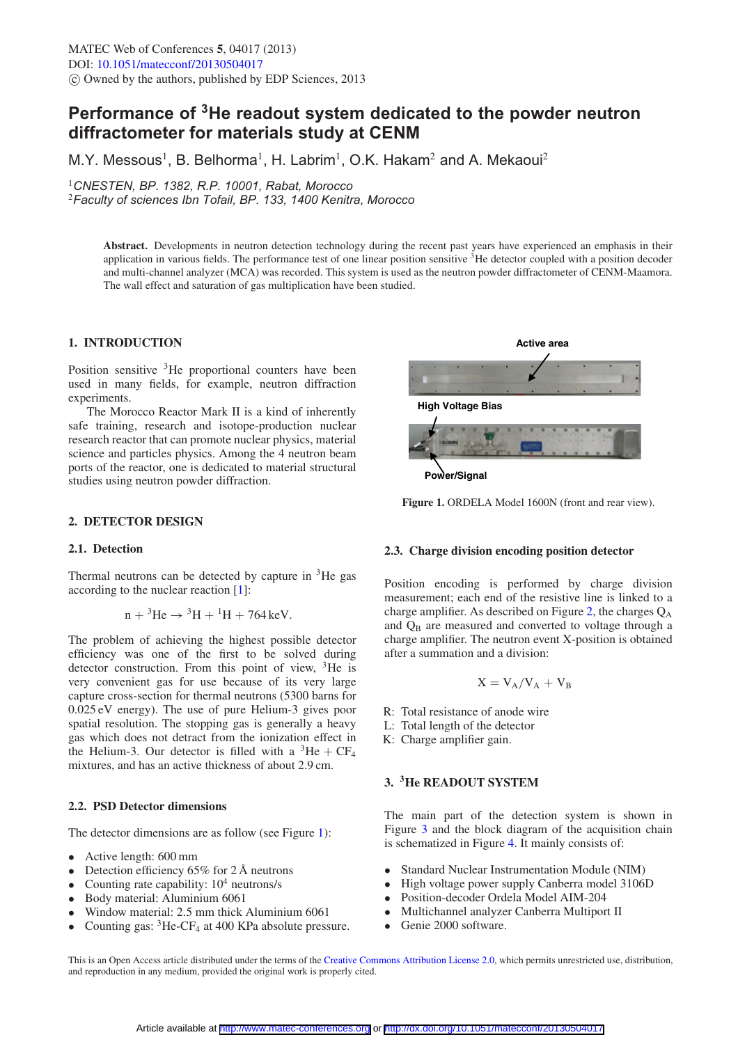# **Performance of 3He readout system dedicated to the powder neutron diffractometer for materials study at CENM**

M.Y. Messous<sup>1</sup>, B. Belhorma<sup>1</sup>, H. Labrim<sup>1</sup>, O.K. Hakam<sup>2</sup> and A. Mekaoui<sup>2</sup>

<sup>1</sup>*CNESTEN, BP. 1382, R.P. 10001, Rabat, Morocco*

<sup>2</sup>*Faculty of sciences Ibn Tofail, BP. 133, 1400 Kenitra, Morocco*

**Abstract.** Developments in neutron detection technology during the recent past years have experienced an emphasis in their application in various fields. The performance test of one linear position sensitive  ${}^{3}$ He detector coupled with a position decoder and multi-channel analyzer (MCA) was recorded. This system is used as the neutron powder diffractometer of CENM-Maamora. The wall effect and saturation of gas multiplication have been studied.

## **1. INTRODUCTION**

Position sensitive  ${}^{3}$ He proportional counters have been used in many fields, for example, neutron diffraction experiments.

The Morocco Reactor Mark II is a kind of inherently safe training, research and isotope-production nuclear research reactor that can promote nuclear physics, material science and particles physics. Among the 4 neutron beam ports of the reactor, one is dedicated to material structural studies using neutron powder diffraction.

## **2. DETECTOR DESIGN**

#### **2.1. Detection**

Thermal neutrons can be detected by capture in  ${}^{3}$ He gas according to the nuclear reaction [\[1](#page-3-0)]:

$$
n + {}^{3}\text{He} \rightarrow {}^{3}\text{H} + {}^{1}\text{H} + 764 \,\text{keV}.
$$

The problem of achieving the highest possible detector efficiency was one of the first to be solved during detector construction. From this point of view,  ${}^{3}$ He is very convenient gas for use because of its very large capture cross-section for thermal neutrons (5300 barns for 0.025 eV energy). The use of pure Helium-3 gives poor spatial resolution. The stopping gas is generally a heavy gas which does not detract from the ionization effect in the Helium-3. Our detector is filled with a  ${}^{3}$ He + CF<sub>4</sub> mixtures, and has an active thickness of about 2.9 cm.

#### **2.2. PSD Detector dimensions**

The detector dimensions are as follow (see Figure [1\)](#page-0-0):

- Active length: 600 mm
- Detection efficiency 65% for 2 Å neutrons<br>• Counting rate canability:  $10^4$  neutrons/s
- Counting rate capability:  $10^4$  neutrons/s<br>• Body material: Aluminium 6061
- Body material: Aluminium 6061
- Window material: 2.5 mm thick Aluminium 6061<br>• Counting gas: <sup>3</sup>He-CE<sub>4</sub> at 400 KPa absolute press
- Counting gas:  ${}^{3}$ He-CF<sub>4</sub> at 400 KPa absolute pressure.

<span id="page-0-0"></span>

**Power/Signal**

Figure 1. ORDELA Model 1600N (front and rear view).

#### **2.3. Charge division encoding position detector**

Position encoding is performed by charge division measurement; each end of the resistive line is linked to a charge amplifier. As described on Figure [2,](#page-1-0) the charges  $Q_A$ and  $Q_B$  are measured and converted to voltage through a charge amplifier. The neutron event X-position is obtained after a summation and a division:

$$
X = V_A/V_A + V_B
$$

- R: Total resistance of anode wire
- L: Total length of the detector
- K: Charge amplifier gain.

## **3. 3He READOUT SYSTEM**

The main part of the detection system is shown in Figure [3](#page-1-1) and the block diagram of the acquisition chain is schematized in Figure [4.](#page-1-2) It mainly consists of:

- Standard Nuclear Instrumentation Module (NIM)
- High voltage power supply Canberra model 3106D
- Position-decoder Ordela Model AIM-204<br>• Multichannel analyzer Canberra Multipor
- Multichannel analyzer Canberra Multiport II<br>• Genie 2000 software
- Genie 2000 software.

This is an Open Access article distributed under the terms of the [Creative Commons Attribution License 2.0,](http://creativecommons.org/licenses/by/2.0/) which permits unrestricted use, distribution, and reproduction in any medium, provided the original work is properly cited.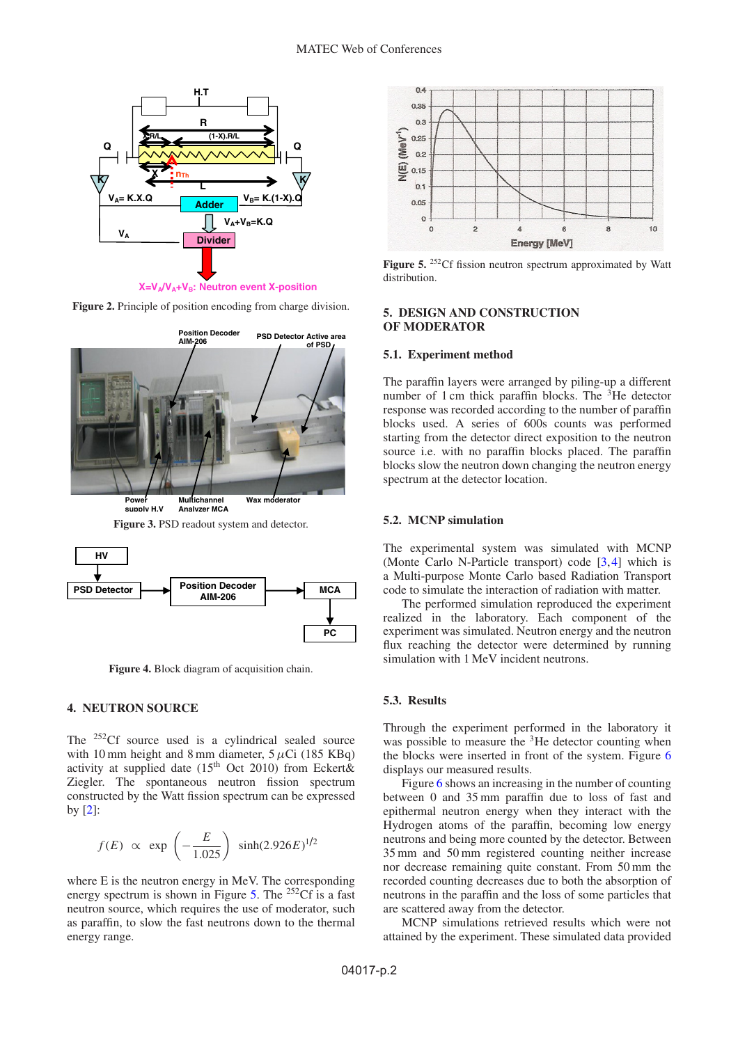<span id="page-1-0"></span>

**Figure 2.** Principle of position encoding from charge division.

<span id="page-1-1"></span>

**Analyzer MCA**



<span id="page-1-2"></span>

**Figure 4.** Block diagram of acquisition chain.

#### **4. NEUTRON SOURCE**

The <sup>252</sup>Cf source used is a cylindrical sealed source with 10 mm height and 8 mm diameter,  $5 \mu$ Ci (185 KBq) activity at supplied date  $(15<sup>th</sup> Oct 2010)$  from Eckert& Ziegler. The spontaneous neutron fission spectrum constructed by the Watt fission spectrum can be expressed by [\[2\]](#page-3-1):

$$
f(E) \propto \exp\left(-\frac{E}{1.025}\right) \sinh(2.926E)^{1/2}
$$

where E is the neutron energy in MeV. The corresponding energy spectrum is shown in Figure [5.](#page-1-3) The  $^{252}$ Cf is a fast neutron source, which requires the use of moderator, such as paraffin, to slow the fast neutrons down to the thermal energy range.

<span id="page-1-3"></span>

Figure 5. <sup>252</sup>Cf fission neutron spectrum approximated by Watt distribution.

#### **5. DESIGN AND CONSTRUCTION OF MODERATOR**

#### **5.1. Experiment method**

The paraffin layers were arranged by piling-up a different number of 1 cm thick paraffin blocks. The <sup>3</sup>He detector response was recorded according to the number of paraffin blocks used. A series of 600s counts was performed starting from the detector direct exposition to the neutron source i.e. with no paraffin blocks placed. The paraffin blocks slow the neutron down changing the neutron energy spectrum at the detector location.

## **5.2. MCNP simulation**

The experimental system was simulated with MCNP (Monte Carlo N-Particle transport) code [\[3,](#page-3-2)[4\]](#page-3-3) which is a Multi-purpose Monte Carlo based Radiation Transport code to simulate the interaction of radiation with matter.

The performed simulation reproduced the experiment realized in the laboratory. Each component of the experiment was simulated. Neutron energy and the neutron flux reaching the detector were determined by running simulation with 1 MeV incident neutrons.

## **5.3. Results**

Through the experiment performed in the laboratory it was possible to measure the <sup>3</sup>He detector counting when the blocks were inserted in front of the system. Figure [6](#page-2-0) displays our measured results.

Figure [6](#page-2-0) shows an increasing in the number of counting between 0 and 35 mm paraffin due to loss of fast and epithermal neutron energy when they interact with the Hydrogen atoms of the paraffin, becoming low energy neutrons and being more counted by the detector. Between 35 mm and 50 mm registered counting neither increase nor decrease remaining quite constant. From 50 mm the recorded counting decreases due to both the absorption of neutrons in the paraffin and the loss of some particles that are scattered away from the detector.

MCNP simulations retrieved results which were not attained by the experiment. These simulated data provided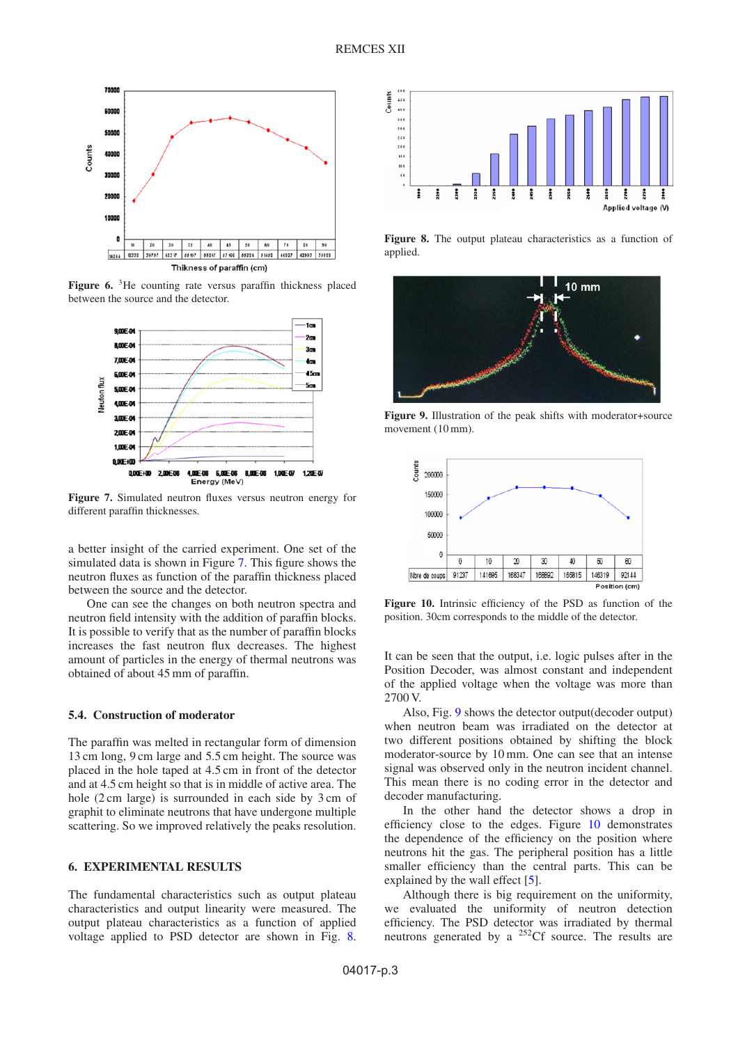<span id="page-2-0"></span>

<span id="page-2-1"></span>Figure 6. <sup>3</sup>He counting rate versus paraffin thickness placed between the source and the detector.



**Figure 7.** Simulated neutron fluxes versus neutron energy for different paraffin thicknesses.

a better insight of the carried experiment. One set of the simulated data is shown in Figure [7.](#page-2-1) This figure shows the neutron fluxes as function of the paraffin thickness placed between the source and the detector.

One can see the changes on both neutron spectra and neutron field intensity with the addition of paraffin blocks. It is possible to verify that as the number of paraffin blocks increases the fast neutron flux decreases. The highest amount of particles in the energy of thermal neutrons was obtained of about 45 mm of paraffin.

# **5.4. Construction of moderator**

The paraffin was melted in rectangular form of dimension 13 cm long, 9 cm large and 5.5 cm height. The source was placed in the hole taped at 4.5 cm in front of the detector and at 4.5 cm height so that is in middle of active area. The hole (2 cm large) is surrounded in each side by 3 cm of graphit to eliminate neutrons that have undergone multiple scattering. So we improved relatively the peaks resolution.

# **6. EXPERIMENTAL RESULTS**

The fundamental characteristics such as output plateau characteristics and output linearity were measured. The output plateau characteristics as a function of applied voltage applied to PSD detector are shown in Fig. [8.](#page-2-2)

<span id="page-2-2"></span>

**Figure 8.** The output plateau characteristics as a function of applied.

<span id="page-2-3"></span>

<span id="page-2-4"></span>**Figure 9.** Illustration of the peak shifts with moderator+source movement (10 mm).



**Figure 10.** Intrinsic efficiency of the PSD as function of the position. 30cm corresponds to the middle of the detector.

It can be seen that the output, i.e. logic pulses after in the Position Decoder, was almost constant and independent of the applied voltage when the voltage was more than 2700 V.

Also, Fig. [9](#page-2-3) shows the detector output(decoder output) when neutron beam was irradiated on the detector at two different positions obtained by shifting the block moderator-source by 10 mm. One can see that an intense signal was observed only in the neutron incident channel. This mean there is no coding error in the detector and decoder manufacturing.

In the other hand the detector shows a drop in efficiency close to the edges. Figure [10](#page-2-4) demonstrates the dependence of the efficiency on the position where neutrons hit the gas. The peripheral position has a little smaller efficiency than the central parts. This can be explained by the wall effect [\[5\]](#page-3-4).

Although there is big requirement on the uniformity, we evaluated the uniformity of neutron detection efficiency. The PSD detector was irradiated by thermal neutrons generated by a  $^{252}$ Cf source. The results are